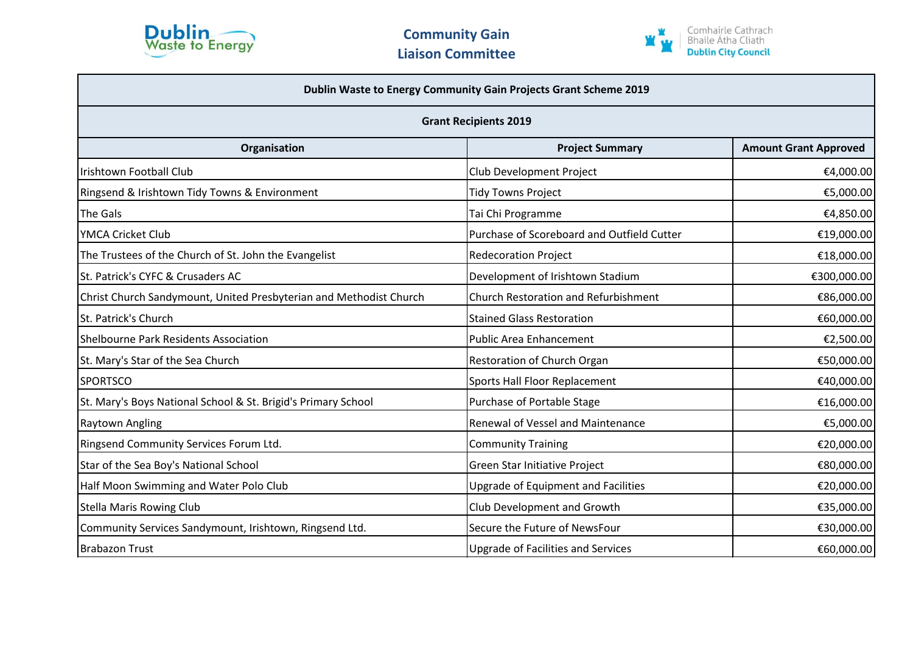



| Dublin Waste to Energy Community Gain Projects Grant Scheme 2019<br><b>Grant Recipients 2019</b> |                                             |             |  |
|--------------------------------------------------------------------------------------------------|---------------------------------------------|-------------|--|
|                                                                                                  |                                             |             |  |
| Irishtown Football Club                                                                          | Club Development Project                    | €4,000.00   |  |
| Ringsend & Irishtown Tidy Towns & Environment                                                    | Tidy Towns Project                          | €5,000.00   |  |
| The Gals                                                                                         | Tai Chi Programme                           | €4,850.00   |  |
| YMCA Cricket Club                                                                                | Purchase of Scoreboard and Outfield Cutter  | €19,000.00  |  |
| The Trustees of the Church of St. John the Evangelist                                            | <b>Redecoration Project</b>                 | €18,000.00  |  |
| St. Patrick's CYFC & Crusaders AC                                                                | Development of Irishtown Stadium            | €300,000.00 |  |
| Christ Church Sandymount, United Presbyterian and Methodist Church                               | <b>Church Restoration and Refurbishment</b> | €86,000.00  |  |
| St. Patrick's Church                                                                             | <b>Stained Glass Restoration</b>            | €60,000.00  |  |
| <b>Shelbourne Park Residents Association</b>                                                     | <b>Public Area Enhancement</b>              | €2,500.00   |  |
| St. Mary's Star of the Sea Church                                                                | Restoration of Church Organ                 | €50,000.00  |  |
| <b>SPORTSCO</b>                                                                                  | Sports Hall Floor Replacement               | €40,000.00  |  |
| St. Mary's Boys National School & St. Brigid's Primary School                                    | Purchase of Portable Stage                  | €16,000.00  |  |
| <b>Raytown Angling</b>                                                                           | <b>Renewal of Vessel and Maintenance</b>    | €5,000.00   |  |
| Ringsend Community Services Forum Ltd.                                                           | <b>Community Training</b>                   | €20,000.00  |  |
| Star of the Sea Boy's National School                                                            | Green Star Initiative Project               | €80,000.00  |  |
| Half Moon Swimming and Water Polo Club                                                           | <b>Upgrade of Equipment and Facilities</b>  | €20,000.00  |  |
| <b>Stella Maris Rowing Club</b>                                                                  | Club Development and Growth                 | €35,000.00  |  |
| Community Services Sandymount, Irishtown, Ringsend Ltd.                                          | Secure the Future of NewsFour               | €30,000.00  |  |
| <b>Brabazon Trust</b>                                                                            | <b>Upgrade of Facilities and Services</b>   | €60,000.00  |  |